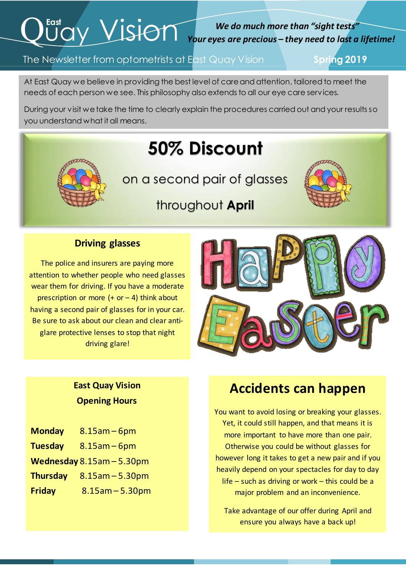# $Q^{\text{fast}}$  Vision

#### *We do much more than "sight tests" Your eyes are precious – they need to last a lifetime!*

#### The Newsletter from optometrists at East Quay Vision **Spring 2019**

At East Quay we believe in providing the best level of care and attention, tailored to meet the needs of each person we see. This philosophy also extends to all our eye care services.

 During your visit we take the time to clearly explain the procedures carried out and your results so you understand what it all means.

## **50% Discount**

on a second pair of glasses



### throughout **April**

#### **Driving glasses**

i

The police and insurers are paying more attention to whether people who need glasses wear them for driving. If you have a moderate prescription or more  $(+ or - 4)$  think about having a second pair of glasses for in your car. Be sure to ask about our clean and clear antiglare protective lenses to stop that night driving glare!



#### **East Quay Vision Opening Hours**

- **Monday** 8.15am 6pm
- **Tuesday** 8.15am 6pm
- **Wednesday** 8.15am 5.30pm
- **Thursday** 8.15am 5.30pm
- **Friday** 8.15am 5.30pm

#### **Accidents can happen**

You want to avoid losing or breaking your glasses. Yet, it could still happen, and that means it is more important to have more than one pair. Otherwise you could be without glasses for however long it takes to get a new pair and if you heavily depend on your spectacles for day to day life – such as driving or work – this could be a major problem and an inconvenience.

Take advantage of our offer during April and ensure you always have a back up!